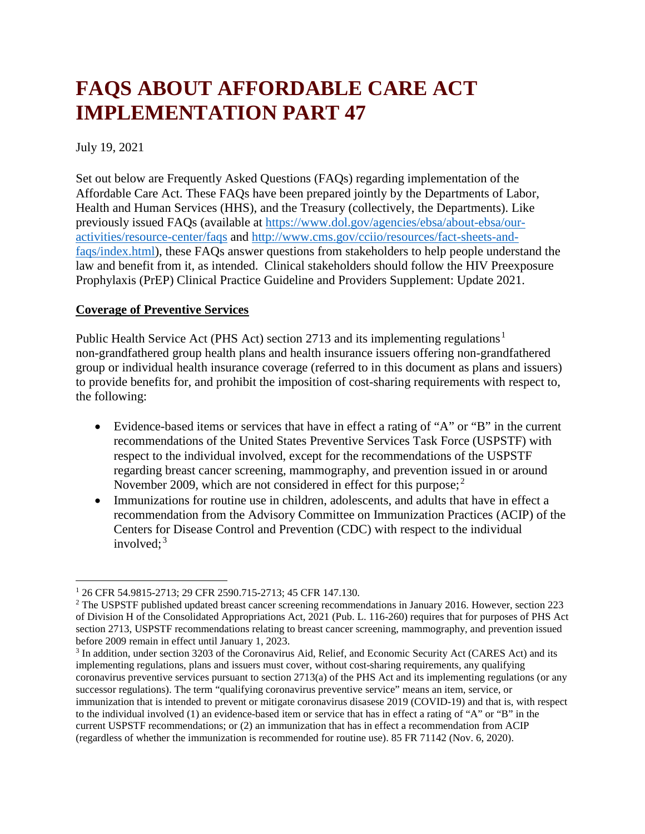# **FAQS ABOUT AFFORDABLE CARE ACT IMPLEMENTATION PART 47**

July 19, 2021

Set out below are Frequently Asked Questions (FAQs) regarding implementation of the Affordable Care Act. These FAQs have been prepared jointly by the Departments of Labor, Health and Human Services (HHS), and the Treasury (collectively, the Departments). Like previously issued FAQs (available at [https://www.dol.gov/agencies/ebsa/about-ebsa/our](https://www.dol.gov/agencies/ebsa/about-ebsa/our-activities/resource-center/faqs)[activities/resource-center/faqs](https://www.dol.gov/agencies/ebsa/about-ebsa/our-activities/resource-center/faqs) and [http://www.cms.gov/cciio/resources/fact-sheets-and](http://www.cms.gov/cciio/resources/fact-sheets-and-faqs/index.html)[faqs/index.html\)](http://www.cms.gov/cciio/resources/fact-sheets-and-faqs/index.html), these FAQs answer questions from stakeholders to help people understand the law and benefit from it, as intended. Clinical stakeholders should follow the HIV Preexposure Prophylaxis (PrEP) Clinical Practice Guideline and Providers Supplement: Update 2021.

## **Coverage of Preventive Services**

Public Health Service Act (PHS Act) section 2713 and its implementing regulations<sup>1</sup> non-grandfathered group health plans and health insurance issuers offering non-grandfathered group or individual health insurance coverage (referred to in this document as plans and issuers) to provide benefits for, and prohibit the imposition of cost-sharing requirements with respect to, the following:

- Evidence-based items or services that have in effect a rating of "A" or "B" in the current recommendations of the United States Preventive Services Task Force (USPSTF) with respect to the individual involved, except for the recommendations of the USPSTF regarding breast cancer screening, mammography, and prevention issued in or around November 2009, which are not considered in effect for this purpose;<sup>2</sup>
- Immunizations for routine use in children, adolescents, and adults that have in effect a recommendation from the Advisory Committee on Immunization Practices (ACIP) of the Centers for Disease Control and Prevention (CDC) with respect to the individual involved: $3$

<sup>1</sup> 26 CFR 54.9815-2713; 29 CFR 2590.715-2713; 45 CFR 147.130.

<sup>&</sup>lt;sup>2</sup> The USPSTF published updated breast cancer screening recommendations in January 2016. However, section 223 of Division H of the Consolidated Appropriations Act, 2021 (Pub. L. 116-260) requires that for purposes of PHS Act section 2713, USPSTF recommendations relating to breast cancer screening, mammography, and prevention issued before 2009 remain in effect until January 1, 2023.

<sup>3</sup> In addition, under section 3203 of the Coronavirus Aid, Relief, and Economic Security Act (CARES Act) and its implementing regulations, plans and issuers must cover, without cost-sharing requirements, any qualifying coronavirus preventive services pursuant to section 2713(a) of the PHS Act and its implementing regulations (or any successor regulations). The term "qualifying coronavirus preventive service" means an item, service, or immunization that is intended to prevent or mitigate coronavirus disasese 2019 (COVID-19) and that is, with respect to the individual involved (1) an evidence-based item or service that has in effect a rating of "A" or "B" in the current USPSTF recommendations; or (2) an immunization that has in effect a recommendation from ACIP (regardless of whether the immunization is recommended for routine use). 85 FR 71142 (Nov. 6, 2020).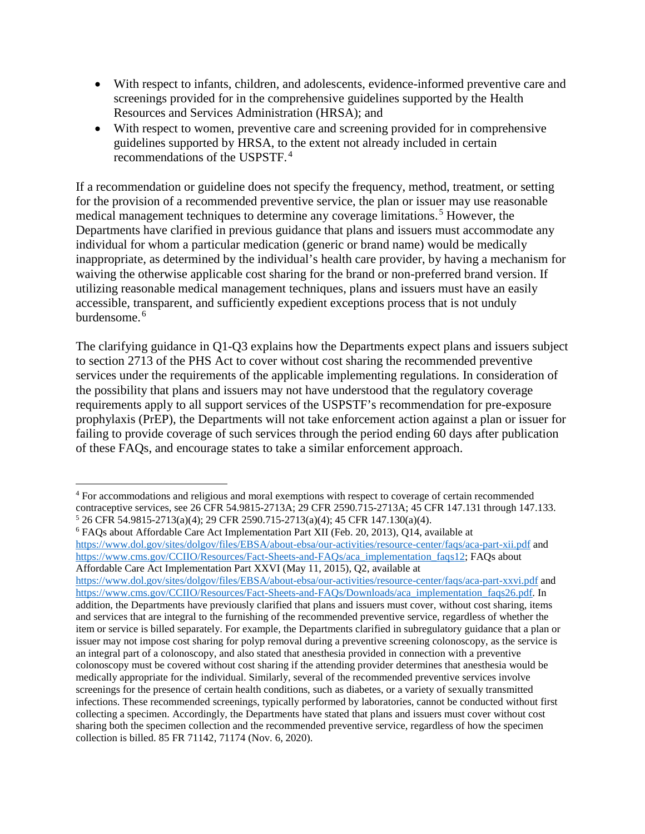- With respect to infants, children, and adolescents, evidence-informed preventive care and screenings provided for in the comprehensive guidelines supported by the Health Resources and Services Administration (HRSA); and
- With respect to women, preventive care and screening provided for in comprehensive guidelines supported by HRSA, to the extent not already included in certain recommendations of the USPSTF. <sup>4</sup>

If a recommendation or guideline does not specify the frequency, method, treatment, or setting for the provision of a recommended preventive service, the plan or issuer may use reasonable medical management techniques to determine any coverage limitations.<sup>5</sup> However, the Departments have clarified in previous guidance that plans and issuers must accommodate any individual for whom a particular medication (generic or brand name) would be medically inappropriate, as determined by the individual's health care provider, by having a mechanism for waiving the otherwise applicable cost sharing for the brand or non-preferred brand version. If utilizing reasonable medical management techniques, plans and issuers must have an easily accessible, transparent, and sufficiently expedient exceptions process that is not unduly burdensome. <sup>6</sup>

The clarifying guidance in Q1-Q3 explains how the Departments expect plans and issuers subject to section 2713 of the PHS Act to cover without cost sharing the recommended preventive services under the requirements of the applicable implementing regulations. In consideration of the possibility that plans and issuers may not have understood that the regulatory coverage requirements apply to all support services of the USPSTF's recommendation for pre-exposure prophylaxis (PrEP), the Departments will not take enforcement action against a plan or issuer for failing to provide coverage of such services through the period ending 60 days after publication of these FAQs, and encourage states to take a similar enforcement approach.

l

 $5$  26 CFR 54.9815-2713(a)(4); 29 CFR 2590.715-2713(a)(4); 45 CFR 147.130(a)(4).<br>  $6$  FAQs about Affordable Care Act Implementation Part XII (Feb. 20, 2013), Q14, available at <https://www.dol.gov/sites/dolgov/files/EBSA/about-ebsa/our-activities/resource-center/faqs/aca-part-xii.pdf> and [https://www.cms.gov/CCIIO/Resources/Fact-Sheets-and-FAQs/aca\\_implementation\\_faqs12;](https://www.cms.gov/CCIIO/Resources/Fact-Sheets-and-FAQs/aca_implementation_faqs12) FAQs about Affordable Care Act Implementation Part XXVI (May 11, 2015), Q2, available at

<https://www.dol.gov/sites/dolgov/files/EBSA/about-ebsa/our-activities/resource-center/faqs/aca-part-xxvi.pdf> and [https://www.cms.gov/CCIIO/Resources/Fact-Sheets-and-FAQs/Downloads/aca\\_implementation\\_faqs26.pdf.](https://www.cms.gov/CCIIO/Resources/Fact-Sheets-and-FAQs/Downloads/aca_implementation_faqs26.pdf) In addition, the Departments have previously clarified that plans and issuers must cover, without cost sharing, items and services that are integral to the furnishing of the recommended preventive service, regardless of whether the item or service is billed separately. For example, the Departments clarified in subregulatory guidance that a plan or issuer may not impose cost sharing for polyp removal during a preventive screening colonoscopy, as the service is an integral part of a colonoscopy, and also stated that anesthesia provided in connection with a preventive colonoscopy must be covered without cost sharing if the attending provider determines that anesthesia would be medically appropriate for the individual. Similarly, several of the recommended preventive services involve screenings for the presence of certain health conditions, such as diabetes, or a variety of sexually transmitted infections. These recommended screenings, typically performed by laboratories, cannot be conducted without first collecting a specimen. Accordingly, the Departments have stated that plans and issuers must cover without cost sharing both the specimen collection and the recommended preventive service, regardless of how the specimen collection is billed. 85 FR 71142, 71174 (Nov. 6, 2020).

<sup>4</sup> For accommodations and religious and moral exemptions with respect to coverage of certain recommended contraceptive services, see 26 CFR 54.9815-2713A; 29 CFR 2590.715-2713A; 45 CFR 147.131 through 147.133.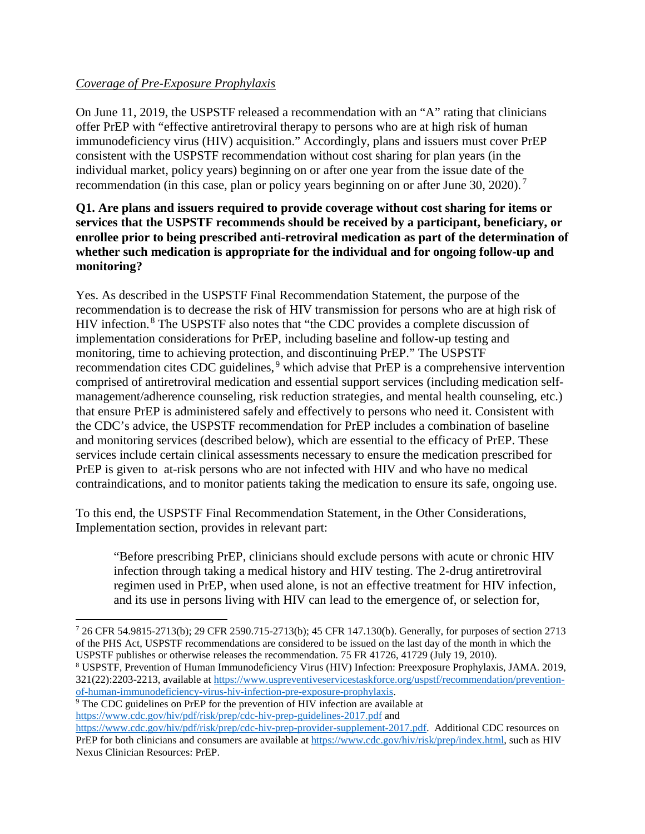## *Coverage of Pre-Exposure Prophylaxis*

On June 11, 2019, the USPSTF released a recommendation with an "A" rating that clinicians offer PrEP with "effective antiretroviral therapy to persons who are at high risk of human immunodeficiency virus (HIV) acquisition." Accordingly, plans and issuers must cover PrEP consistent with the USPSTF recommendation without cost sharing for plan years (in the individual market, policy years) beginning on or after one year from the issue date of the recommendation (in this case, plan or policy years beginning on or after June 30, 2020).<sup>7</sup>

#### **Q1. Are plans and issuers required to provide coverage without cost sharing for items or services that the USPSTF recommends should be received by a participant, beneficiary, or enrollee prior to being prescribed anti-retroviral medication as part of the determination of whether such medication is appropriate for the individual and for ongoing follow-up and monitoring?**

Yes. As described in the USPSTF Final Recommendation Statement, the purpose of the recommendation is to decrease the risk of HIV transmission for persons who are at high risk of HIV infection. <sup>8</sup> The USPSTF also notes that "the CDC provides a complete discussion of implementation considerations for PrEP, including baseline and follow-up testing and monitoring, time to achieving protection, and discontinuing PrEP." The USPSTF recommendation cites CDC guidelines,<sup>9</sup> which advise that PrEP is a comprehensive intervention comprised of antiretroviral medication and essential support services (including medication selfmanagement/adherence counseling, risk reduction strategies, and mental health counseling, etc.) that ensure PrEP is administered safely and effectively to persons who need it. Consistent with the CDC's advice, the USPSTF recommendation for PrEP includes a combination of baseline and monitoring services (described below), which are essential to the efficacy of PrEP. These services include certain clinical assessments necessary to ensure the medication prescribed for PrEP is given to at-risk persons who are not infected with HIV and who have no medical contraindications, and to monitor patients taking the medication to ensure its safe, ongoing use.

To this end, the USPSTF Final Recommendation Statement, in the Other Considerations, Implementation section, provides in relevant part:

"Before prescribing PrEP, clinicians should exclude persons with acute or chronic HIV infection through taking a medical history and HIV testing. The 2-drug antiretroviral regimen used in PrEP, when used alone, is not an effective treatment for HIV infection, and its use in persons living with HIV can lead to the emergence of, or selection for,

 $\overline{\phantom{a}}$ 

<sup>7</sup> 26 CFR 54.9815-2713(b); 29 CFR 2590.715-2713(b); 45 CFR 147.130(b). Generally, for purposes of section 2713 of the PHS Act, USPSTF recommendations are considered to be issued on the last day of the month in which the USPSTF publishes or otherwise releases the recommendation. 75 FR 41726, 41729 (July 19, 2010).

<sup>8</sup> USPSTF, Prevention of Human Immunodeficiency Virus (HIV) Infection: Preexposure Prophylaxis, JAMA. 2019, 321(22):2203-2213, available at [https://www.uspreventiveservicestaskforce.org/uspstf/recommendation/prevention](https://www.uspreventiveservicestaskforce.org/uspstf/recommendation/prevention-of-human-immunodeficiency-virus-hiv-infection-pre-exposure-prophylaxis)[of-human-immunodeficiency-virus-hiv-infection-pre-exposure-prophylaxis.](https://www.uspreventiveservicestaskforce.org/uspstf/recommendation/prevention-of-human-immunodeficiency-virus-hiv-infection-pre-exposure-prophylaxis) 9 The CDC guidelines on PrEP for the prevention of HIV infection are available at

<https://www.cdc.gov/hiv/pdf/risk/prep/cdc-hiv-prep-guidelines-2017.pdf> and

[https://www.cdc.gov/hiv/pdf/risk/prep/cdc-hiv-prep-provider-supplement-2017.pdf.](https://www.cdc.gov/hiv/pdf/risk/prep/cdc-hiv-prep-provider-supplement-2017.pdf) Additional CDC resources on PrEP for both clinicians and consumers are available a[t https://www.cdc.gov/hiv/risk/prep/index.html,](https://www.cdc.gov/hiv/risk/prep/index.html) such as HIV Nexus Clinician Resources: PrEP.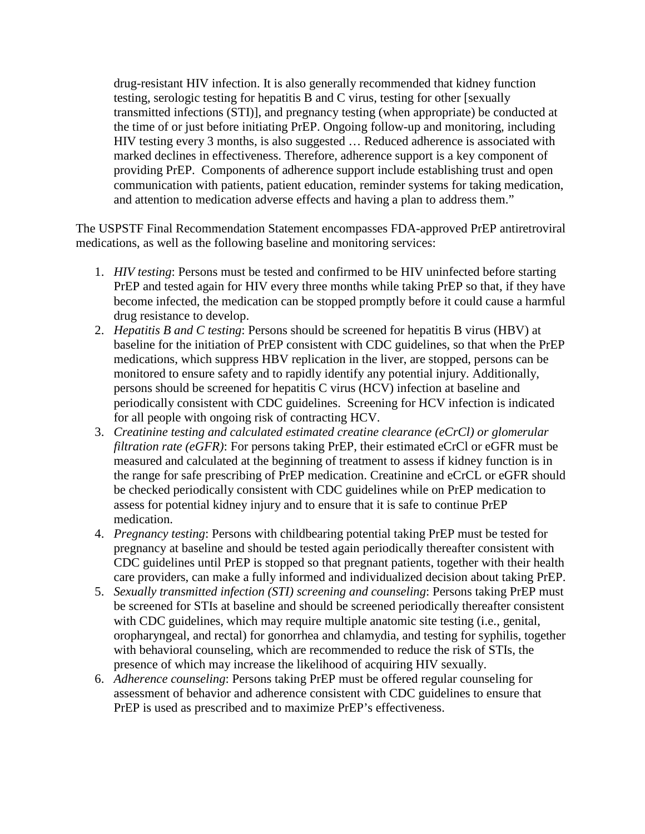drug-resistant HIV infection. It is also generally recommended that kidney function testing, serologic testing for hepatitis B and C virus, testing for other [sexually transmitted infections (STI)], and pregnancy testing (when appropriate) be conducted at the time of or just before initiating PrEP. Ongoing follow-up and monitoring, including HIV testing every 3 months, is also suggested … Reduced adherence is associated with marked declines in effectiveness. Therefore, adherence support is a key component of providing PrEP. Components of adherence support include establishing trust and open communication with patients, patient education, reminder systems for taking medication, and attention to medication adverse effects and having a plan to address them."

The USPSTF Final Recommendation Statement encompasses FDA-approved PrEP antiretroviral medications, as well as the following baseline and monitoring services:

- 1. *HIV testing*: Persons must be tested and confirmed to be HIV uninfected before starting PrEP and tested again for HIV every three months while taking PrEP so that, if they have become infected, the medication can be stopped promptly before it could cause a harmful drug resistance to develop.
- 2. *Hepatitis B and C testing*: Persons should be screened for hepatitis B virus (HBV) at baseline for the initiation of PrEP consistent with CDC guidelines, so that when the PrEP medications, which suppress HBV replication in the liver, are stopped, persons can be monitored to ensure safety and to rapidly identify any potential injury. Additionally, persons should be screened for hepatitis C virus (HCV) infection at baseline and periodically consistent with CDC guidelines. Screening for HCV infection is indicated for all people with ongoing risk of contracting HCV.
- 3. *Creatinine testing and calculated estimated creatine clearance (eCrCl) or glomerular filtration rate (eGFR)*: For persons taking PrEP, their estimated eCrCl or eGFR must be measured and calculated at the beginning of treatment to assess if kidney function is in the range for safe prescribing of PrEP medication. Creatinine and eCrCL or eGFR should be checked periodically consistent with CDC guidelines while on PrEP medication to assess for potential kidney injury and to ensure that it is safe to continue PrEP medication.
- 4. *Pregnancy testing*: Persons with childbearing potential taking PrEP must be tested for pregnancy at baseline and should be tested again periodically thereafter consistent with CDC guidelines until PrEP is stopped so that pregnant patients, together with their health care providers, can make a fully informed and individualized decision about taking PrEP.
- 5. *Sexually transmitted infection (STI) screening and counseling*: Persons taking PrEP must be screened for STIs at baseline and should be screened periodically thereafter consistent with CDC guidelines, which may require multiple anatomic site testing (i.e., genital, oropharyngeal, and rectal) for gonorrhea and chlamydia, and testing for syphilis, together with behavioral counseling, which are recommended to reduce the risk of STIs, the presence of which may increase the likelihood of acquiring HIV sexually.
- 6. *Adherence counseling*: Persons taking PrEP must be offered regular counseling for assessment of behavior and adherence consistent with CDC guidelines to ensure that PrEP is used as prescribed and to maximize PrEP's effectiveness.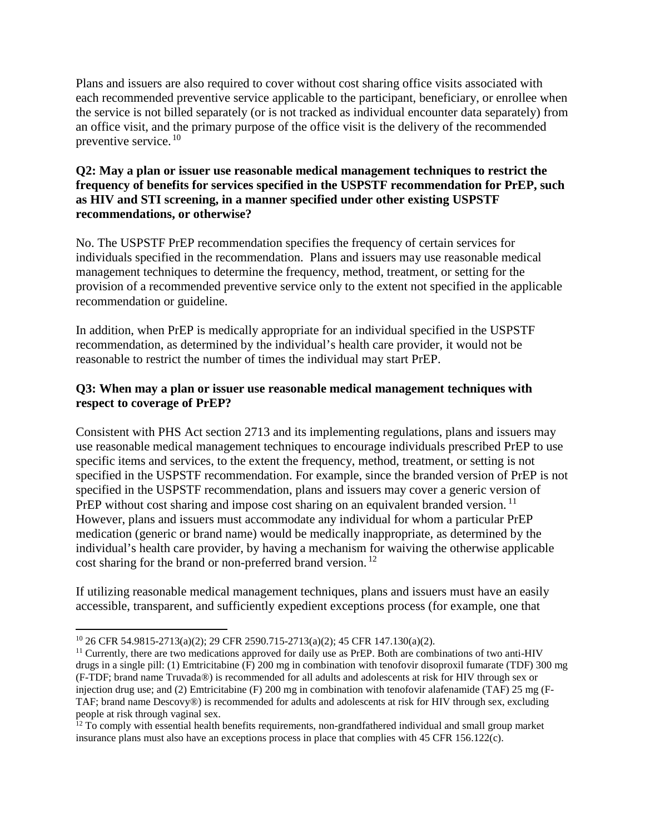Plans and issuers are also required to cover without cost sharing office visits associated with each recommended preventive service applicable to the participant, beneficiary, or enrollee when the service is not billed separately (or is not tracked as individual encounter data separately) from an office visit, and the primary purpose of the office visit is the delivery of the recommended preventive service. <sup>10</sup>

#### **Q2: May a plan or issuer use reasonable medical management techniques to restrict the frequency of benefits for services specified in the USPSTF recommendation for PrEP, such as HIV and STI screening, in a manner specified under other existing USPSTF recommendations, or otherwise?**

No. The USPSTF PrEP recommendation specifies the frequency of certain services for individuals specified in the recommendation. Plans and issuers may use reasonable medical management techniques to determine the frequency, method, treatment, or setting for the provision of a recommended preventive service only to the extent not specified in the applicable recommendation or guideline.

In addition, when PrEP is medically appropriate for an individual specified in the USPSTF recommendation, as determined by the individual's health care provider, it would not be reasonable to restrict the number of times the individual may start PrEP.

## **Q3: When may a plan or issuer use reasonable medical management techniques with respect to coverage of PrEP?**

Consistent with PHS Act section 2713 and its implementing regulations, plans and issuers may use reasonable medical management techniques to encourage individuals prescribed PrEP to use specific items and services, to the extent the frequency, method, treatment, or setting is not specified in the USPSTF recommendation. For example, since the branded version of PrEP is not specified in the USPSTF recommendation, plans and issuers may cover a generic version of PrEP without cost sharing and impose cost sharing on an equivalent branded version.<sup>11</sup> However, plans and issuers must accommodate any individual for whom a particular PrEP medication (generic or brand name) would be medically inappropriate, as determined by the individual's health care provider, by having a mechanism for waiving the otherwise applicable cost sharing for the brand or non-preferred brand version.<sup>12</sup>

If utilizing reasonable medical management techniques, plans and issuers must have an easily accessible, transparent, and sufficiently expedient exceptions process (for example, one that

l

<sup>10</sup> 26 CFR 54.9815-2713(a)(2); 29 CFR 2590.715-2713(a)(2); 45 CFR 147.130(a)(2).

<sup>&</sup>lt;sup>11</sup> Currently, there are two medications approved for daily use as PrEP. Both are combinations of two anti-HIV drugs in a single pill: (1) Emtricitabine (F) 200 mg in combination with tenofovir disoproxil fumarate (TDF) 300 mg (F-TDF; brand name Truvada®) is recommended for all adults and adolescents at risk for HIV through sex or injection drug use; and (2) Emtricitabine (F) 200 mg in combination with tenofovir alafenamide (TAF) 25 mg (F-TAF; brand name Descovy®) is recommended for adults and adolescents at risk for HIV through sex, excluding people at risk through vaginal sex.

 $12$  To comply with essential health benefits requirements, non-grandfathered individual and small group market insurance plans must also have an exceptions process in place that complies with 45 CFR 156.122(c).